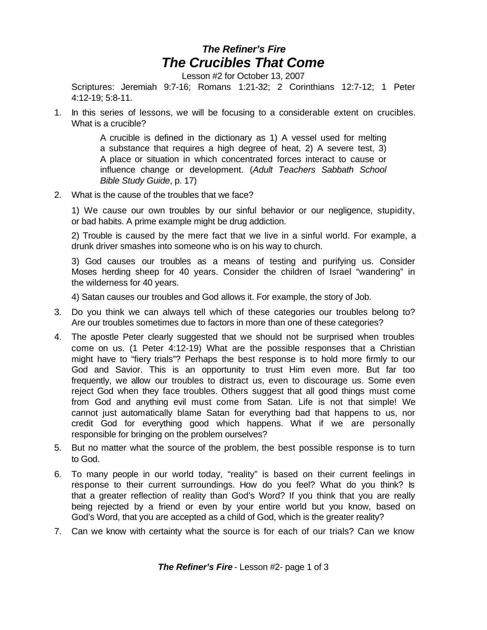## *The Refiner's Fire The Crucibles That Come*

Lesson #2 for October 13, 2007

Scriptures: Jeremiah 9:7-16; Romans 1:21-32; 2 Corinthians 12:7-12; 1 Peter 4:12-19; 5:8-11.

1. In this series of lessons, we will be focusing to a considerable extent on crucibles. What is a crucible?

> A crucible is defined in the dictionary as 1) A vessel used for melting a substance that requires a high degree of heat, 2) A severe test, 3) A place or situation in which concentrated forces interact to cause or influence change or development. (*Adult Teachers Sabbath School Bible Study Guide*, p. 17)

2. What is the cause of the troubles that we face?

1) We cause our own troubles by our sinful behavior or our negligence, stupidity, or bad habits. A prime example might be drug addiction.

2) Trouble is caused by the mere fact that we live in a sinful world. For example, a drunk driver smashes into someone who is on his way to church.

3) God causes our troubles as a means of testing and purifying us. Consider Moses herding sheep for 40 years. Consider the children of Israel "wandering" in the wilderness for 40 years.

4) Satan causes our troubles and God allows it. For example, the story of Job.

- 3. Do you think we can always tell which of these categories our troubles belong to? Are our troubles sometimes due to factors in more than one of these categories?
- 4. The apostle Peter clearly suggested that we should not be surprised when troubles come on us. (1 Peter 4:12-19) What are the possible responses that a Christian might have to "fiery trials"? Perhaps the best response is to hold more firmly to our God and Savior. This is an opportunity to trust Him even more. But far too frequently, we allow our troubles to distract us, even to discourage us. Some even reject God when they face troubles. Others suggest that all good things must come from God and anything evil must come from Satan. Life is not that simple! We cannot just automatically blame Satan for everything bad that happens to us, nor credit God for everything good which happens. What if we are personally responsible for bringing on the problem ourselves?
- 5. But no matter what the source of the problem, the best possible response is to turn to God.
- 6. To many people in our world today, "reality" is based on their current feelings in response to their current surroundings. How do you feel? What do you think? Is that a greater reflection of reality than God's Word? If you think that you are really being rejected by a friend or even by your entire world but you know, based on God's Word, that you are accepted as a child of God, which is the greater reality?
- 7. Can we know with certainty what the source is for each of our trials? Can we know

*The Refiner's Fire* - Lesson #2- page 1 of 3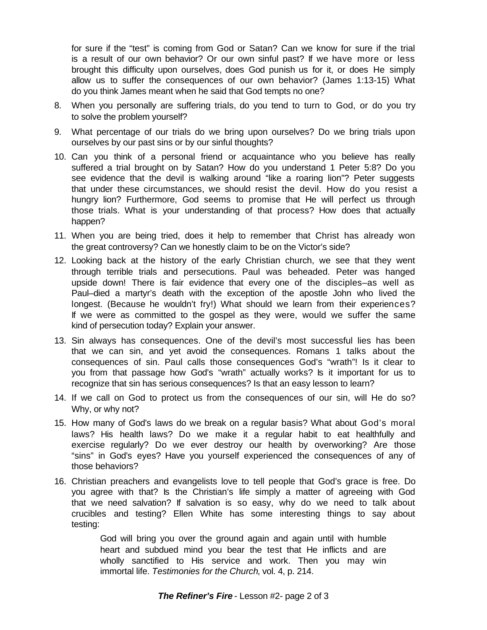for sure if the "test" is coming from God or Satan? Can we know for sure if the trial is a result of our own behavior? Or our own sinful past? If we have more or less brought this difficulty upon ourselves, does God punish us for it, or does He simply allow us to suffer the consequences of our own behavior? (James 1:13-15) What do you think James meant when he said that God tempts no one?

- 8. When you personally are suffering trials, do you tend to turn to God, or do you try to solve the problem yourself?
- 9. What percentage of our trials do we bring upon ourselves? Do we bring trials upon ourselves by our past sins or by our sinful thoughts?
- 10. Can you think of a personal friend or acquaintance who you believe has really suffered a trial brought on by Satan? How do you understand 1 Peter 5:8? Do you see evidence that the devil is walking around "like a roaring lion"? Peter suggests that under these circumstances, we should resist the devil. How do you resist a hungry lion? Furthermore, God seems to promise that He will perfect us through those trials. What is your understanding of that process? How does that actually happen?
- 11. When you are being tried, does it help to remember that Christ has already won the great controversy? Can we honestly claim to be on the Victor's side?
- 12. Looking back at the history of the early Christian church, we see that they went through terrible trials and persecutions. Paul was beheaded. Peter was hanged upside down! There is fair evidence that every one of the disciples–as well as Paul–died a martyr's death with the exception of the apostle John who lived the longest. (Because he wouldn't fry!) What should we learn from their experiences? If we were as committed to the gospel as they were, would we suffer the same kind of persecution today? Explain your answer.
- 13. Sin always has consequences. One of the devil's most successful lies has been that we can sin, and yet avoid the consequences. Romans 1 talks about the consequences of sin. Paul calls those consequences God's "wrath"! Is it clear to you from that passage how God's "wrath" actually works? Is it important for us to recognize that sin has serious consequences? Is that an easy lesson to learn?
- 14. If we call on God to protect us from the consequences of our sin, will He do so? Why, or why not?
- 15. How many of God's laws do we break on a regular basis? What about God's moral laws? His health laws? Do we make it a regular habit to eat healthfully and exercise regularly? Do we ever destroy our health by overworking? Are those "sins" in God's eyes? Have you yourself experienced the consequences of any of those behaviors?
- 16. Christian preachers and evangelists love to tell people that God's grace is free. Do you agree with that? Is the Christian's life simply a matter of agreeing with God that we need salvation? If salvation is so easy, why do we need to talk about crucibles and testing? Ellen White has some interesting things to say about testing:

God will bring you over the ground again and again until with humble heart and subdued mind you bear the test that He inflicts and are wholly sanctified to His service and work. Then you may win immortal life. *Testimonies for the Church*, vol. 4, p. 214.